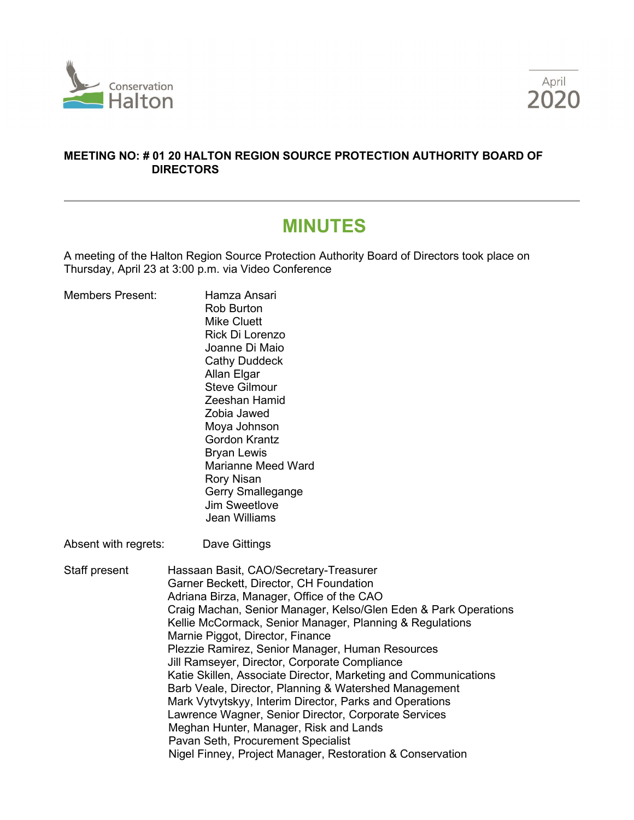



#### **MEETING NO: # 01 20 HALTON REGION SOURCE PROTECTION AUTHORITY BOARD OF DIRECTORS**

# **MINUTES**

A meeting of the Halton Region Source Protection Authority Board of Directors took place on Thursday, April 23 at 3:00 p.m. via Video Conference

| <b>Members Present:</b> | Hamza Ansari<br><b>Rob Burton</b><br><b>Mike Cluett</b><br>Rick Di Lorenzo<br>Joanne Di Maio<br><b>Cathy Duddeck</b><br>Allan Elgar<br><b>Steve Gilmour</b><br>Zeeshan Hamid<br>Zobia Jawed<br>Moya Johnson<br><b>Gordon Krantz</b><br><b>Bryan Lewis</b><br><b>Marianne Meed Ward</b><br><b>Rory Nisan</b><br>Gerry Smallegange<br><b>Jim Sweetlove</b><br><b>Jean Williams</b>                                                                                                                                                                                                                                                                                                                                                                                                                   |
|-------------------------|----------------------------------------------------------------------------------------------------------------------------------------------------------------------------------------------------------------------------------------------------------------------------------------------------------------------------------------------------------------------------------------------------------------------------------------------------------------------------------------------------------------------------------------------------------------------------------------------------------------------------------------------------------------------------------------------------------------------------------------------------------------------------------------------------|
| Absent with regrets:    | Dave Gittings                                                                                                                                                                                                                                                                                                                                                                                                                                                                                                                                                                                                                                                                                                                                                                                      |
| Staff present           | Hassaan Basit, CAO/Secretary-Treasurer<br>Garner Beckett, Director, CH Foundation<br>Adriana Birza, Manager, Office of the CAO<br>Craig Machan, Senior Manager, Kelso/Glen Eden & Park Operations<br>Kellie McCormack, Senior Manager, Planning & Regulations<br>Marnie Piggot, Director, Finance<br>Plezzie Ramirez, Senior Manager, Human Resources<br>Jill Ramseyer, Director, Corporate Compliance<br>Katie Skillen, Associate Director, Marketing and Communications<br>Barb Veale, Director, Planning & Watershed Management<br>Mark Vytvytskyy, Interim Director, Parks and Operations<br>Lawrence Wagner, Senior Director, Corporate Services<br>Meghan Hunter, Manager, Risk and Lands<br>Pavan Seth, Procurement Specialist<br>Nigel Finney, Project Manager, Restoration & Conservation |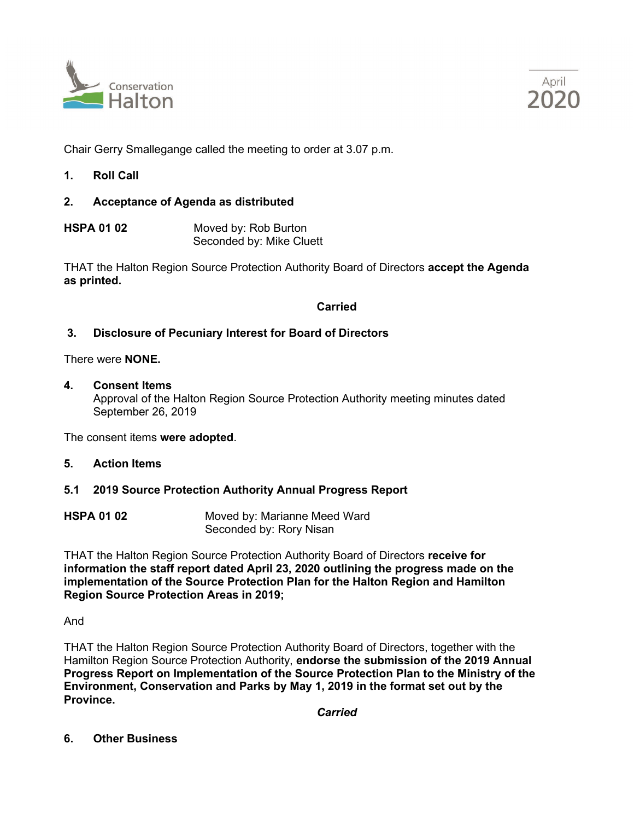



Chair Gerry Smallegange called the meeting to order at 3.07 p.m.

- **1. Roll Call**
- **2. Acceptance of Agenda as distributed**
- **HSPA 01 02** Moved by: Rob Burton Seconded by: Mike Cluett

THAT the Halton Region Source Protection Authority Board of Directors **accept the Agenda as printed.**

**Carried**

#### **3. Disclosure of Pecuniary Interest for Board of Directors**

There were **NONE.**

**4. Consent Items**

Approval of the Halton Region Source Protection Authority meeting minutes dated September 26, 2019

The consent items **were adopted**.

- **5. Action Items**
- **5.1 2019 Source Protection Authority Annual Progress Report**
- **HSPA 01 02** Moved by: Marianne Meed Ward Seconded by: Rory Nisan

THAT the Halton Region Source Protection Authority Board of Directors **receive for information the staff report dated April 23, 2020 outlining the progress made on the implementation of the Source Protection Plan for the Halton Region and Hamilton Region Source Protection Areas in 2019;**

And

THAT the Halton Region Source Protection Authority Board of Directors, together with the Hamilton Region Source Protection Authority, **endorse the submission of the 2019 Annual Progress Report on Implementation of the Source Protection Plan to the Ministry of the Environment, Conservation and Parks by May 1, 2019 in the format set out by the Province.**

*Carried*

**6. Other Business**